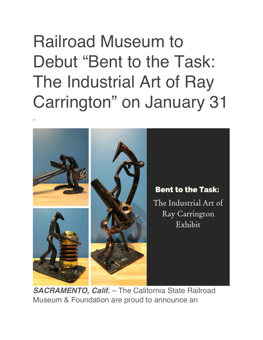## Railroad Museum to Debut "Bent to the Task: The Industrial Art of Ray Carrington" on January 31

.



*SACRAMENTO, Calif.* – The California State Railroad Museum & Foundation are proud to announce an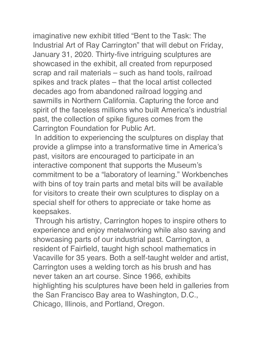imaginative new exhibit titled "Bent to the Task: The Industrial Art of Ray Carrington" that will debut on Friday, January 31, 2020. Thirty-five intriguing sculptures are showcased in the exhibit, all created from repurposed scrap and rail materials – such as hand tools, railroad spikes and track plates – that the local artist collected decades ago from abandoned railroad logging and sawmills in Northern California. Capturing the force and spirit of the faceless millions who built America's industrial past, the collection of spike figures comes from the Carrington Foundation for Public Art.

In addition to experiencing the sculptures on display that provide a glimpse into a transformative time in America's past, visitors are encouraged to participate in an interactive component that supports the Museum's commitment to be a "laboratory of learning." Workbenches with bins of toy train parts and metal bits will be available for visitors to create their own sculptures to display on a special shelf for others to appreciate or take home as keepsakes.

Through his artistry, Carrington hopes to inspire others to experience and enjoy metalworking while also saving and showcasing parts of our industrial past. Carrington, a resident of Fairfield, taught high school mathematics in Vacaville for 35 years. Both a self-taught welder and artist, Carrington uses a welding torch as his brush and has never taken an art course. Since 1966, exhibits highlighting his sculptures have been held in galleries from the San Francisco Bay area to Washington, D.C., Chicago, Illinois, and Portland, Oregon.